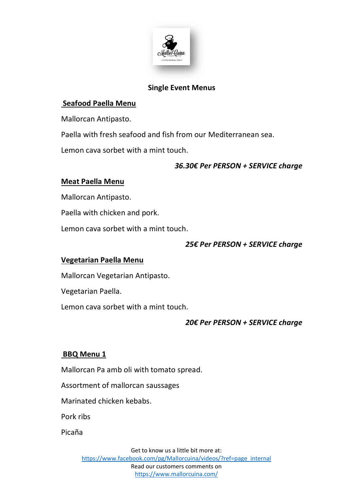

#### **Single Event Menus**

### **Seafood Paella Menu**

Mallorcan Antipasto.

Paella with fresh seafood and fish from our Mediterranean sea.

Lemon cava sorbet with a mint touch.

#### *36.30€ Per PERSON + SERVICE charge*

#### **Meat Paella Menu**

Mallorcan Antipasto.

Paella with chicken and pork.

Lemon cava sorbet with a mint touch.

#### *25€ Per PERSON + SERVICE charge*

#### **Vegetarian Paella Menu**

Mallorcan Vegetarian Antipasto.

Vegetarian Paella.

Lemon cava sorbet with a mint touch.

### *20€ Per PERSON + SERVICE charge*

#### **BBQ Menu 1**

Mallorcan Pa amb oli with tomato spread.

Assortment of mallorcan saussages

Marinated chicken kebabs.

Pork ribs

Picaña

Get to know us a little bit more at: [https://www.facebook.com/pg/Mallorcuina/videos/?ref=page\\_internal](https://www.facebook.com/pg/Mallorcuina/videos/?ref=page_internal) Read our customers comments on <https://www.mallorcuina.com/>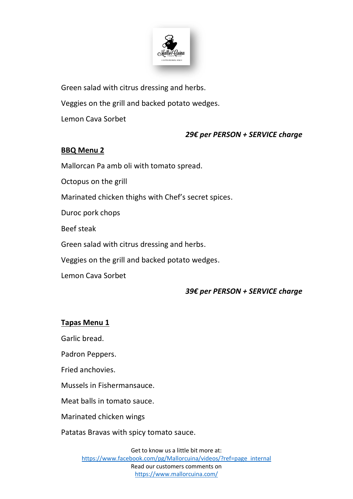

Green salad with citrus dressing and herbs.

Veggies on the grill and backed potato wedges.

Lemon Cava Sorbet

#### *29€ per PERSON + SERVICE charge*

### **BBQ Menu 2**

Mallorcan Pa amb oli with tomato spread.

Octopus on the grill

Marinated chicken thighs with Chef's secret spices.

Duroc pork chops

Beef steak

Green salad with citrus dressing and herbs.

Veggies on the grill and backed potato wedges.

Lemon Cava Sorbet

#### *39€ per PERSON + SERVICE charge*

#### **Tapas Menu 1**

Garlic bread.

Padron Peppers.

Fried anchovies.

Mussels in Fishermansauce.

Meat balls in tomato sauce.

Marinated chicken wings

Patatas Bravas with spicy tomato sauce.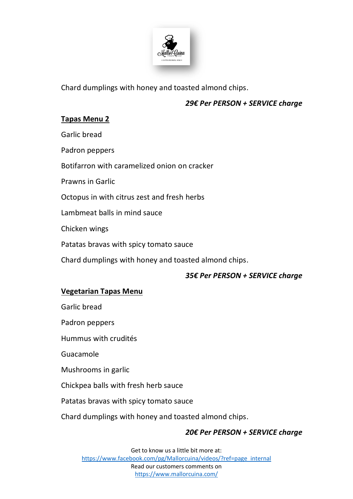

Chard dumplings with honey and toasted almond chips.

### *29€ Per PERSON + SERVICE charge*

## **Tapas Menu 2**

Garlic bread

Padron peppers

Botifarron with caramelized onion on cracker

Prawns in Garlic

Octopus in with citrus zest and fresh herbs

Lambmeat balls in mind sauce

Chicken wings

Patatas bravas with spicy tomato sauce

Chard dumplings with honey and toasted almond chips.

### *35€ Per PERSON + SERVICE charge*

### **Vegetarian Tapas Menu**

Garlic bread

Padron peppers

Hummus with crudités

Guacamole

Mushrooms in garlic

Chickpea balls with fresh herb sauce

Patatas bravas with spicy tomato sauce

Chard dumplings with honey and toasted almond chips.

### *20€ Per PERSON + SERVICE charge*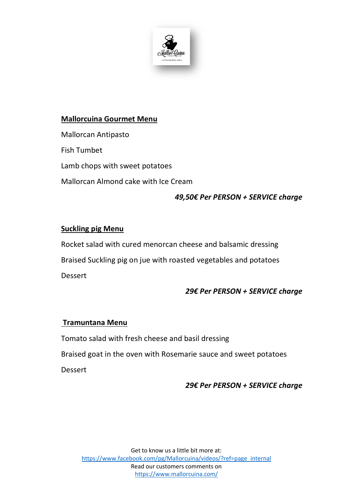

## **Mallorcuina Gourmet Menu**

Mallorcan Antipasto Fish Tumbet

Lamb chops with sweet potatoes

Mallorcan Almond cake with Ice Cream

# *49,50€ Per PERSON + SERVICE charge*

### **Suckling pig Menu**

Rocket salad with cured menorcan cheese and balsamic dressing Braised Suckling pig on jue with roasted vegetables and potatoes Dessert

### *29€ Per PERSON + SERVICE charge*

### **Tramuntana Menu**

Tomato salad with fresh cheese and basil dressing Braised goat in the oven with Rosemarie sauce and sweet potatoes Dessert

### *29€ Per PERSON + SERVICE charge*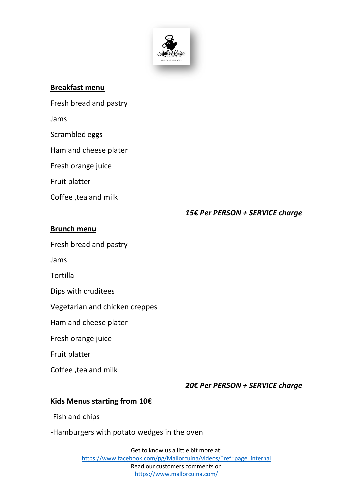

#### **Breakfast menu**

Fresh bread and pastry

Jams

Scrambled eggs

Ham and cheese plater

Fresh orange juice

Fruit platter

Coffee ,tea and milk

#### *15€ Per PERSON + SERVICE charge*

#### **Brunch menu**

Fresh bread and pastry

Jams

**Tortilla** 

Dips with cruditees

Vegetarian and chicken creppes

Ham and cheese plater

Fresh orange juice

Fruit platter

Coffee ,tea and milk

*20€ Per PERSON + SERVICE charge*

#### **Kids Menus starting from 10€**

-Fish and chips

-Hamburgers with potato wedges in the oven

Get to know us a little bit more at: [https://www.facebook.com/pg/Mallorcuina/videos/?ref=page\\_internal](https://www.facebook.com/pg/Mallorcuina/videos/?ref=page_internal) Read our customers comments on <https://www.mallorcuina.com/>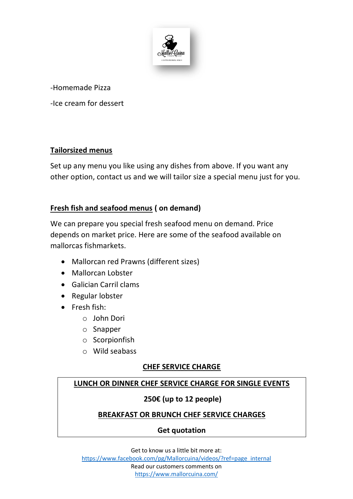

-Homemade Pizza

-Ice cream for dessert

### **Tailorsized menus**

Set up any menu you like using any dishes from above. If you want any other option, contact us and we will tailor size a special menu just for you.

# **Fresh fish and seafood menus ( on demand)**

We can prepare you special fresh seafood menu on demand. Price depends on market price. Here are some of the seafood available on mallorcas fishmarkets.

- Mallorcan red Prawns (different sizes)
- Mallorcan Lobster
- Galician Carril clams
- Regular lobster
- Fresh fish:
	- o John Dori
	- o Snapper
	- o Scorpionfish
	- o Wild seabass

#### **CHEF SERVICE CHARGE**

### **LUNCH OR DINNER CHEF SERVICE CHARGE FOR SINGLE EVENTS**

#### **250€ (up to 12 people)**

#### **BREAKFAST OR BRUNCH CHEF SERVICE CHARGES**

#### **Get quotation**